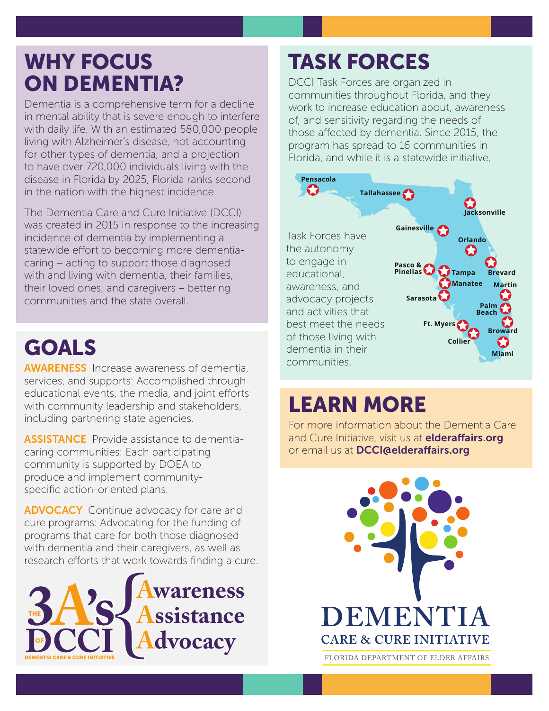## WHY FOCUS ON DEMENTIA?

Dementia is a comprehensive term for a decline in mental ability that is severe enough to interfere with daily life. With an estimated 580,000 people living with Alzheimer's disease, not accounting for other types of dementia, and a projection to have over 720,000 individuals living with the disease in Florida by 2025, Florida ranks second in the nation with the highest incidence.

The Dementia Care and Cure Initiative (DCCI) was created in 2015 in response to the increasing incidence of dementia by implementing a statewide effort to becoming more dementiacaring – acting to support those diagnosed with and living with dementia, their families, their loved ones, and caregivers – bettering communities and the state overall.

## GOALS

AWARENESS Increase awareness of dementia, services, and supports: Accomplished through educational events, the media, and joint efforts with community leadership and stakeholders, including partnering state agencies.

ASSISTANCE Provide assistance to dementiacaring communities: Each participating community is supported by DOEA to produce and implement communityspecific action-oriented plans.

**ADVOCACY** Continue advocacy for care and cure programs: Advocating for the funding of programs that care for both those diagnosed with dementia and their caregivers, as well as research efforts that work towards finding a cure.



## TASK FORCES

DCCI Task Forces are organized in communities throughout Florida, and they work to increase education about, awareness of, and sensitivity regarding the needs of those affected by dementia. Since 2015, the program has spread to 16 communities in Florida, and while it is a statewide initiative,



## LEARN MORE

For more information about the Dementia Care and Cure Initiative, visit us at **[elderaffairs.org](http://elderaffairs.org)** or email us at [DCCI@elderaffairs.org](mailto:DCCI%40elderaffairs.org?subject=)